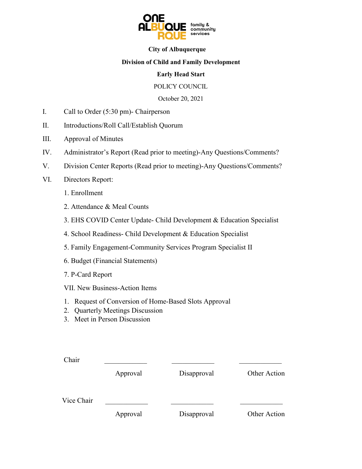

#### **City of Albuquerque**

#### **Division of Child and Family Development**

#### **Early Head Start**

#### POLICY COUNCIL

October 20, 2021

- I. Call to Order (5:30 pm)- Chairperson
- II. Introductions/Roll Call/Establish Quorum
- III. Approval of Minutes
- IV. Administrator's Report (Read prior to meeting)-Any Questions/Comments?
- V. Division Center Reports (Read prior to meeting)-Any Questions/Comments?
- VI. Directors Report:
	- 1. Enrollment
	- 2. Attendance & Meal Counts
	- 3. EHS COVID Center Update- Child Development & Education Specialist
	- 4. School Readiness- Child Development & Education Specialist
	- 5. Family Engagement-Community Services Program Specialist II
	- 6. Budget (Financial Statements)
	- 7. P-Card Report
	- VII. New Business-Action Items
	- 1. Request of Conversion of Home-Based Slots Approval
	- 2. Quarterly Meetings Discussion
	- 3. Meet in Person Discussion

| Chair      |          |             |              |
|------------|----------|-------------|--------------|
|            | Approval | Disapproval | Other Action |
| Vice Chair |          |             |              |
|            | Approval | Disapproval | Other Action |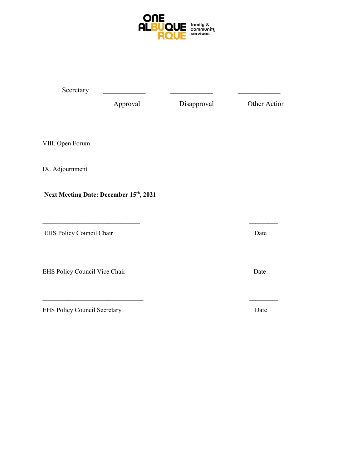

| Secretary                           |                                        |             |              |
|-------------------------------------|----------------------------------------|-------------|--------------|
|                                     | Approval                               | Disapproval | Other Action |
| VIII. Open Forum                    |                                        |             |              |
| IX. Adjournment                     |                                        |             |              |
|                                     | Next Meeting Date: December 15th, 2021 |             |              |
| EHS Policy Council Chair            |                                        |             | Date         |
| EHS Policy Council Vice Chair       |                                        |             | Date         |
| <b>EHS Policy Council Secretary</b> |                                        |             | Date         |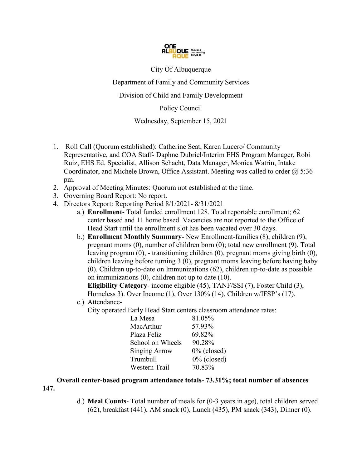

City Of Albuquerque

Department of Family and Community Services

Division of Child and Family Development

Policy Council

Wednesday, September 15, 2021

- 1. Roll Call (Quorum established): Catherine Seat, Karen Lucero/ Community Representative, and COA Staff- Daphne Dubriel/Interim EHS Program Manager, Robi Ruiz, EHS Ed. Specialist, Allison Schacht, Data Manager, Monica Watrin, Intake Coordinator, and Michele Brown, Office Assistant. Meeting was called to order  $\omega$  5:36 pm.
- 2. Approval of Meeting Minutes: Quorum not established at the time.
- 3. Governing Board Report: No report.
- 4. Directors Report: Reporting Period 8/1/2021- 8/31/2021
	- a.) **Enrollment** Total funded enrollment 128. Total reportable enrollment; 62 center based and 11 home based. Vacancies are not reported to the Office of Head Start until the enrollment slot has been vacated over 30 days.
	- b.) **Enrollment Monthly Summary** New Enrollment-families (8), children (9), pregnant moms (0), number of children born (0); total new enrollment (9). Total leaving program (0), - transitioning children (0), pregnant moms giving birth (0), children leaving before turning 3 (0), pregnant moms leaving before having baby (0). Children up-to-date on Immunizations (62), children up-to-date as possible on immunizations (0), children not up to date (10).

**Eligibility Category**- income eligible (45), TANF/SSI (7), Foster Child (3), Homeless 3). Over Income (1), Over 130% (14), Children w/IFSP's (17).

- c.) Attendance-
	- City operated Early Head Start centers classroom attendance rates:

| 81.05%         |
|----------------|
| 57.93%         |
| 69.82%         |
| 90.28%         |
| $0\%$ (closed) |
| $0\%$ (closed) |
| 70.83%         |
|                |

 **Overall center-based program attendance totals- 73.31%; total number of absences 147.**

> d.) **Meal Counts**- Total number of meals for (0-3 years in age), total children served (62), breakfast (441), AM snack (0), Lunch (435), PM snack (343), Dinner (0).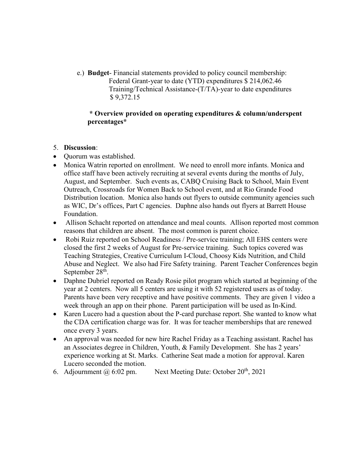e.) **Budget**- Financial statements provided to policy council membership: Federal Grant-year to date (YTD) expenditures \$ 214,062.46 Training/Technical Assistance-(T/TA)-year to date expenditures \$ 9,372.15

#### **\* Overview provided on operating expenditures & column/underspent percentages\***

#### 5. **Discussion**:

- Quorum was established.
- Monica Watrin reported on enrollment. We need to enroll more infants. Monica and office staff have been actively recruiting at several events during the months of July, August, and September. Such events as, CABQ Cruising Back to School, Main Event Outreach, Crossroads for Women Back to School event, and at Rio Grande Food Distribution location. Monica also hands out flyers to outside community agencies such as WIC, Dr's offices, Part C agencies. Daphne also hands out flyers at Barrett House Foundation.
- Allison Schacht reported on attendance and meal counts. Allison reported most common reasons that children are absent. The most common is parent choice.
- Robi Ruiz reported on School Readiness / Pre-service training; All EHS centers were closed the first 2 weeks of August for Pre-service training. Such topics covered was Teaching Strategies, Creative Curriculum I-Cloud, Choosy Kids Nutrition, and Child Abuse and Neglect. We also had Fire Safety training. Parent Teacher Conferences begin September 28<sup>th</sup>.
- Daphne Dubriel reported on Ready Rosie pilot program which started at beginning of the year at 2 centers. Now all 5 centers are using it with 52 registered users as of today. Parents have been very receptive and have positive comments. They are given 1 video a week through an app on their phone. Parent participation will be used as In-Kind.
- Karen Lucero had a question about the P-card purchase report. She wanted to know what the CDA certification charge was for. It was for teacher memberships that are renewed once every 3 years.
- An approval was needed for new hire Rachel Friday as a Teaching assistant. Rachel has an Associates degree in Children, Youth, & Family Development. She has 2 years' experience working at St. Marks. Catherine Seat made a motion for approval. Karen Lucero seconded the motion.
- 6. Adjournment  $\omega$  6:02 pm. Next Meeting Date: October 20<sup>th</sup>, 2021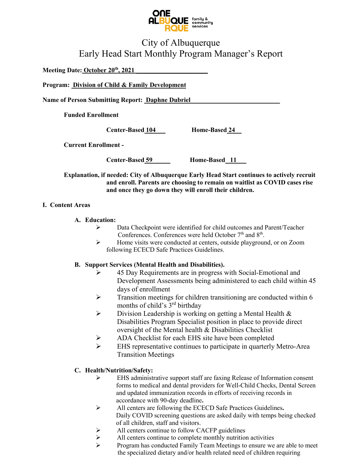

## City of Albuquerque Early Head Start Monthly Program Manager's Report

**Meeting Date: October 20th, 2021 \_\_\_\_\_\_\_\_\_\_\_\_\_\_\_\_\_\_\_\_\_\_**

**Program: Division of Child & Family Development** 

Name of Person Submitting Report: **Daphne Dubriel** 

**Funded Enrollment** 

**Center-Based 104\_\_\_ Home-Based 24\_\_**

**Current Enrollment -** 

**Center-Based 59 \_\_\_\_ Home-Based \_11\_\_\_**

**Explanation, if needed: City of Albuquerque Early Head Start continues to actively recruit and enroll. Parents are choosing to remain on waitlist as COVID cases rise and once they go down they will enroll their children.** 

#### **I. Content Areas**

#### **A. Education:**

- Data Checkpoint were identified for child outcomes and Parent/Teacher Conferences. Conferences were held October 7<sup>th</sup> and 8<sup>th</sup>.
- $\triangleright$  Home visits were conducted at centers, outside playground, or on Zoom following ECECD Safe Practices Guidelines.

#### **B. Support Services (Mental Health and Disabilities).**

- ▶ 45 Day Requirements are in progress with Social-Emotional and Development Assessments being administered to each child within 45 days of enrollment
- $\triangleright$  Transition meetings for children transitioning are conducted within 6 months of child's 3<sup>rd</sup> birthday
- $\triangleright$  Division Leadership is working on getting a Mental Health & Disabilities Program Specialist position in place to provide direct oversight of the Mental health & Disabilities Checklist
- ADA Checklist for each EHS site have been completed
- EHS representative continues to participate in quarterly Metro-Area Transition Meetings

#### **C. Health/Nutrition/Safety:**

- EHS administrative support staff are faxing Release of Information consent forms to medical and dental providers for Well-Child Checks, Dental Screen and updated immunization records in efforts of receiving records in accordance with 90-day deadline**.**
- All centers are following the ECECD Safe Practices Guidelines**.** Daily COVID screening questions are asked daily with temps being checked of all children, staff and visitors.
- > All centers continue to follow CACFP guidelines
- $\triangleright$  All centers continue to complete monthly nutrition activities
- Program has conducted Family Team Meetings to ensure we are able to meet the specialized dietary and/or health related need of children requiring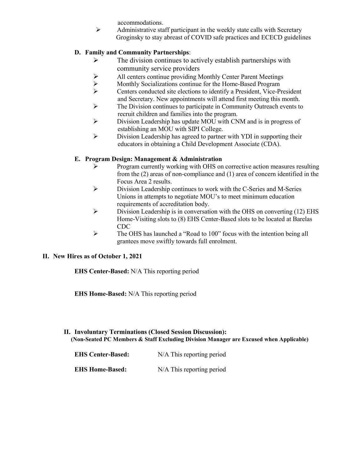accommodations.

 $\triangleright$  Administrative staff participant in the weekly state calls with Secretary Groginsky to stay abreast of COVID safe practices and ECECD guidelines

#### **D. Family and Community Partnerships**:

- $\triangleright$  The division continues to actively establish partnerships with community service providers
- All centers continue providing Monthly Center Parent Meetings
- $\triangleright$  Monthly Socializations continue for the Home-Based Program<br>  $\triangleright$  Centers conducted site elections to identify a President. Vice-Pr
- Centers conducted site elections to identify a President, Vice-President and Secretary. New appointments will attend first meeting this month.
- $\triangleright$  The Division continues to participate in Community Outreach events to recruit children and families into the program.
- Division Leadership has update MOU with CNM and is in progress of establishing an MOU with SIPI College.
- $\triangleright$  Division Leadership has agreed to partner with YDI in supporting their educators in obtaining a Child Development Associate (CDA).

#### **E. Program Design: Management & Administration**

- $\triangleright$  Program currently working with OHS on corrective action measures resulting from the (2) areas of non-compliance and (1) area of concern identified in the Focus Area 2 results.
- Division Leadership continues to work with the C-Series and M-Series Unions in attempts to negotiate MOU's to meet minimum education requirements of accreditation body.
- $\triangleright$  Division Leadership is in conversation with the OHS on converting (12) EHS Home-Visiting slots to (8) EHS Center-Based slots to be located at Barelas CDC
- The OHS has launched a "Road to 100" focus with the intention being all grantees move swiftly towards full enrolment.

#### **II. New Hires as of October 1, 2021**

**EHS Center-Based:** N/A This reporting period

**EHS Home-Based:** N/A This reporting period

#### **II. Involuntary Terminations (Closed Session Discussion): (Non-Seated PC Members & Staff Excluding Division Manager are Excused when Applicable)**

| <b>EHS Center-Based:</b> | N/A This reporting period   |
|--------------------------|-----------------------------|
| <b>EHS Home-Based:</b>   | $N/A$ This reporting period |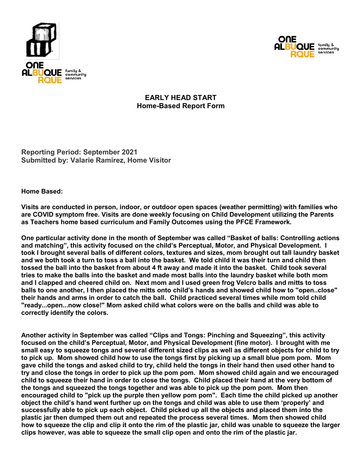



## **EARLY HEAD START Home-Based Report Form**

**Reporting Period: September 2021 Submitted by: Valarie Ramirez, Home Visitor**

#### **Home Based:**

**Visits are conducted in person, indoor, or outdoor open spaces (weather permitting) with families who are COVID symptom free. Visits are done weekly focusing on Child Development utilizing the Parents as Teachers home based curriculum and Family Outcomes using the PFCE Framework.** 

**One particular activity done in the month of September was called "Basket of balls: Controlling actions and matching", this activity focused on the child's Perceptual, Motor, and Physical Development. I took I brought several balls of different colors, textures and sizes, mom brought out tall laundry basket and we both took a turn to toss a ball into the basket. We told child it was their turn and child then tossed the ball into the basket from about 4 ft away and made it into the basket. Child took several tries to make the balls into the basket and made most balls into the laundry basket while both mom and I clapped and cheered child on. Next mom and I used green frog Velcro balls and mitts to toss balls to one another, I then placed the mitts onto child's hands and showed child how to "open..close" their hands and arms in order to catch the ball. Child practiced several times while mom told child "ready...open...now close!" Mom asked child what colors were on the balls and child was able to correctly identify the colors.**

**Another activity in September was called "Clips and Tongs: Pinching and Squeezing", this activity focused on the child's Perceptual, Motor, and Physical Development (fine motor). I brought with me small easy to squeeze tongs and several different sized clips as well as different objects for child to try to pick up. Mom showed child how to use the tongs first by picking up a small blue pom pom. Mom gave child the tongs and asked child to try, child held the tongs in their hand then used other hand to try and close the tongs in order to pick up the pom pom. Mom showed child again and we encouraged child to squeeze their hand in order to close the tongs. Child placed their hand at the very bottom of the tongs and squeezed the tongs together and was able to pick up the pom pom. Mom then encouraged child to "pick up the purple then yellow pom pom". Each time the child picked up another object the child's hand went further up on the tongs and child was able to use them 'properly' and successfully able to pick up each object. Child picked up all the objects and placed them into the plastic jar then dumped them out and repeated the process several times. Mom then showed child how to squeeze the clip and clip it onto the rim of the plastic jar, child was unable to squeeze the larger clips however, was able to squeeze the small clip open and onto the rim of the plastic jar.**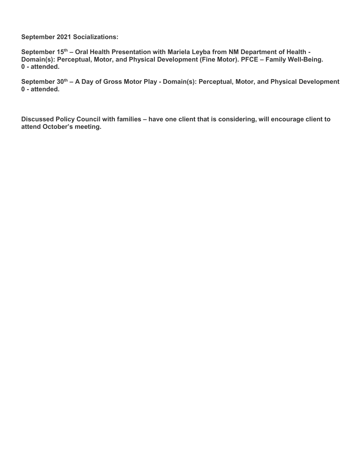**September 2021 Socializations:**

**September 15th – Oral Health Presentation with Mariela Leyba from NM Department of Health - Domain(s): Perceptual, Motor, and Physical Development (Fine Motor). PFCE – Family Well-Being. 0 - attended.** 

**September 30th – A Day of Gross Motor Play - Domain(s): Perceptual, Motor, and Physical Development 0 - attended.**

**Discussed Policy Council with families – have one client that is considering, will encourage client to attend October's meeting.**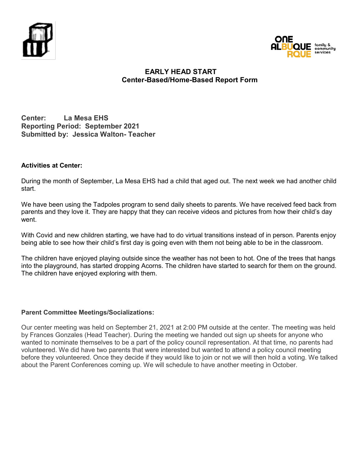



#### **EARLY HEAD START Center-Based/Home-Based Report Form**

**Center: La Mesa EHS Reporting Period: September 2021 Submitted by: Jessica Walton- Teacher**

#### **Activities at Center:**

During the month of September, La Mesa EHS had a child that aged out. The next week we had another child start.

We have been using the Tadpoles program to send daily sheets to parents. We have received feed back from parents and they love it. They are happy that they can receive videos and pictures from how their child's day went.

With Covid and new children starting, we have had to do virtual transitions instead of in person. Parents enjoy being able to see how their child's first day is going even with them not being able to be in the classroom.

The children have enjoyed playing outside since the weather has not been to hot. One of the trees that hangs into the playground, has started dropping Acorns. The children have started to search for them on the ground. The children have enjoyed exploring with them.

#### **Parent Committee Meetings/Socializations:**

Our center meeting was held on September 21, 2021 at 2:00 PM outside at the center. The meeting was held by Frances Gonzales (Head Teacher). During the meeting we handed out sign up sheets for anyone who wanted to nominate themselves to be a part of the policy council representation. At that time, no parents had volunteered. We did have two parents that were interested but wanted to attend a policy council meeting before they volunteered. Once they decide if they would like to join or not we will then hold a voting. We talked about the Parent Conferences coming up. We will schedule to have another meeting in October.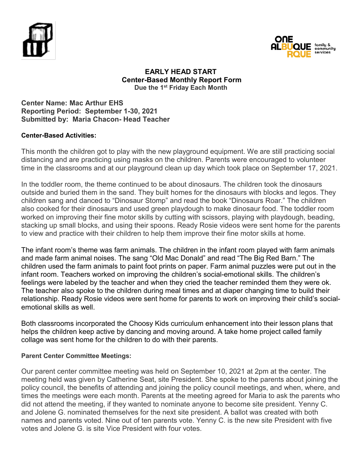



#### **EARLY HEAD START Center-Based Monthly Report Form Due the 1st Friday Each Month**

**Center Name: Mac Arthur EHS Reporting Period: September 1-30, 2021 Submitted by: Maria Chacon- Head Teacher**

#### **Center-Based Activities:**

This month the children got to play with the new playground equipment. We are still practicing social distancing and are practicing using masks on the children. Parents were encouraged to volunteer time in the classrooms and at our playground clean up day which took place on September 17, 2021.

In the toddler room, the theme continued to be about dinosaurs. The children took the dinosaurs outside and buried them in the sand. They built homes for the dinosaurs with blocks and legos. They children sang and danced to "Dinosaur Stomp" and read the book "Dinosaurs Roar." The children also cooked for their dinosaurs and used green playdough to make dinosaur food. The toddler room worked on improving their fine motor skills by cutting with scissors, playing with playdough, beading, stacking up small blocks, and using their spoons. Ready Rosie videos were sent home for the parents to view and practice with their children to help them improve their fine motor skills at home.

The infant room's theme was farm animals. The children in the infant room played with farm animals and made farm animal noises. The sang "Old Mac Donald" and read "The Big Red Barn." The children used the farm animals to paint foot prints on paper. Farm animal puzzles were put out in the infant room. Teachers worked on improving the children's social-emotional skills. The children's feelings were labeled by the teacher and when they cried the teacher reminded them they were ok. The teacher also spoke to the children during meal times and at diaper changing time to build their relationship. Ready Rosie videos were sent home for parents to work on improving their child's socialemotional skills as well.

Both classrooms incorporated the Choosy Kids curriculum enhancement into their lesson plans that helps the children keep active by dancing and moving around. A take home project called family collage was sent home for the children to do with their parents.

#### **Parent Center Committee Meetings:**

Our parent center committee meeting was held on September 10, 2021 at 2pm at the center. The meeting held was given by Catherine Seat, site President. She spoke to the parents about joining the policy council, the benefits of attending and joining the policy council meetings, and when, where, and times the meetings were each month. Parents at the meeting agreed for Maria to ask the parents who did not attend the meeting, if they wanted to nominate anyone to become site president. Yenny C. and Jolene G. nominated themselves for the next site president. A ballot was created with both names and parents voted. Nine out of ten parents vote. Yenny C. is the new site President with five votes and Jolene G. is site Vice President with four votes.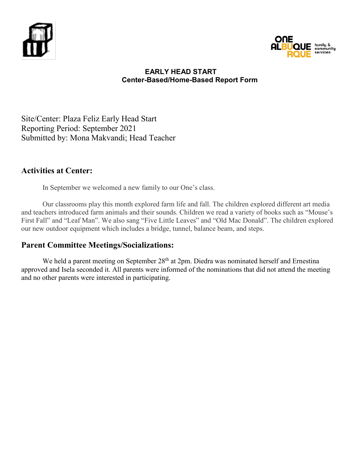



#### **EARLY HEAD START Center-Based/Home-Based Report Form**

Site/Center: Plaza Feliz Early Head Start Reporting Period: September 2021 Submitted by: Mona Makvandi; Head Teacher

## **Activities at Center:**

In September we welcomed a new family to our One's class.

Our classrooms play this month explored farm life and fall. The children explored different art media and teachers introduced farm animals and their sounds. Children we read a variety of books such as "Mouse's First Fall" and "Leaf Man". We also sang "Five Little Leaves" and "Old Mac Donald". The children explored our new outdoor equipment which includes a bridge, tunnel, balance beam, and steps.

## **Parent Committee Meetings/Socializations:**

We held a parent meeting on September 28<sup>th</sup> at 2pm. Diedra was nominated herself and Ernestina approved and Isela seconded it. All parents were informed of the nominations that did not attend the meeting and no other parents were interested in participating.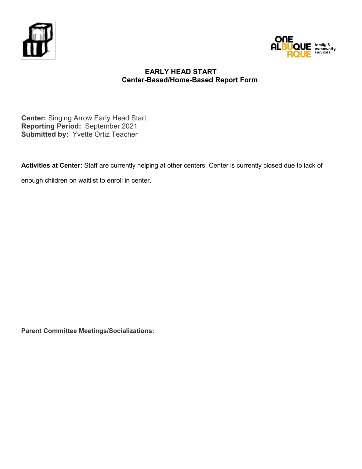



#### **EARLY HEAD START Center-Based/Home-Based Report Form**

**Center:** Singing Arrow Early Head Start **Reporting Period:** September 2021 **Submitted by:** Yvette Ortiz Teacher

**Activities at Center:** Staff are currently helping at other centers. Center is currently closed due to lack of

enough children on waitlist to enroll in center.

**Parent Committee Meetings/Socializations:**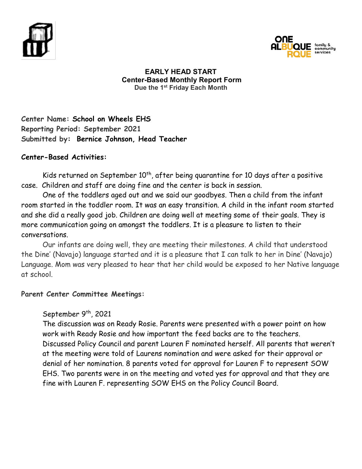



#### **EARLY HEAD START Center-Based Monthly Report Form Due the 1st Friday Each Month**

**Center Name: School on Wheels EHS Reporting Period: September 2021 Submitted by: Bernice Johnson, Head Teacher**

### **Center-Based Activities:**

Kids returned on September  $10<sup>th</sup>$ , after being quarantine for 10 days after a positive case. Children and staff are doing fine and the center is back in session.

One of the toddlers aged out and we said our goodbyes. Then a child from the infant room started in the toddler room. It was an easy transition. A child in the infant room started and she did a really good job. Children are doing well at meeting some of their goals. They is more communication going on amongst the toddlers. It is a pleasure to listen to their conversations.

Our infants are doing well, they are meeting their milestones. A child that understood the Dine' (Navajo) language started and it is a pleasure that I can talk to her in Dine' (Navajo) Language. Mom was very pleased to hear that her child would be exposed to her Native language at school.

## **Parent Center Committee Meetings:**

## September 9<sup>th</sup>, 2021

The discussion was on Ready Rosie. Parents were presented with a power point on how work with Ready Rosie and how important the feed backs are to the teachers. Discussed Policy Council and parent Lauren F nominated herself. All parents that weren't at the meeting were told of Laurens nomination and were asked for their approval or denial of her nomination. 8 parents voted for approval for Lauren F to represent SOW EHS. Two parents were in on the meeting and voted yes for approval and that they are fine with Lauren F. representing SOW EHS on the Policy Council Board.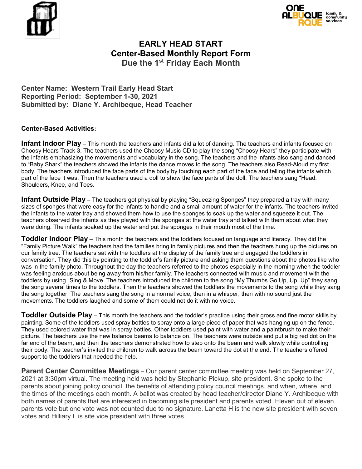



## **EARLY HEAD START Center-Based Monthly Report Form Due the 1st Friday Each Month**

**Center Name: Western Trail Early Head Start Reporting Period: September 1-30, 2021 Submitted by: Diane Y. Archibeque, Head Teacher**

#### **Center-Based Activities:**

**Infant Indoor Play** – This month the teachers and infants did a lot of dancing. The teachers and infants focused on Choosy Hears Track 3. The teachers used the Choosy Music CD to play the song "Choosy Hears" they participate with the infants emphasizing the movements and vocabulary in the song. The teachers and the infants also sang and danced to "Baby Shark" the teachers showed the infants the dance moves to the song. The teachers also Read-Aloud my first body. The teachers introduced the face parts of the body by touching each part of the face and telling the infants which part of the face it was. Then the teachers used a doll to show the face parts of the doll. The teachers sang "Head, Shoulders, Knee, and Toes.

**Infant Outside Play –** The teachers got physical by playing "Squeezing Sponges" they prepared a tray with many sizes of sponges that were easy for the infants to handle and a small amount of water for the infants. The teachers invited the infants to the water tray and showed them how to use the sponges to soak up the water and squeeze it out. The teachers observed the infants as they played with the sponges at the water tray and talked with them about what they were doing. The infants soaked up the water and put the sponges in their mouth most of the time.

**Toddler Indoor Play** – This month the teachers and the toddlers focused on language and literacy. They did the "Family Picture Walk" the teachers had the families bring in family pictures and then the teachers hung up the pictures on our family tree. The teachers sat with the toddlers at the display of the family tree and engaged the toddlers in conversation. They did this by pointing to the toddler's family picture and asking them questions about the photos like who was in the family photo. Throughout the day the teachers referred to the photos especially in the morning when the toddler was feeling anxious about being away from his/her family. The teachers connected with music and movement with the toddlers by using "Sing & Move. The teachers introduced the children to the song "My Thumbs Go Up, Up, Up" they sang the song several times to the toddlers. Then the teachers showed the toddlers the movements to the song while they sang the song together. The teachers sang the song in a normal voice, then in a whisper, then with no sound just the movements. The toddlers laughed and some of them could not do it with no voice.

**Toddler Outside Play** – This month the teachers and the toddler's practice using their gross and fine motor skills by painting. Some of the toddlers used spray bottles to spray onto a large piece of paper that was hanging up on the fence. They used colored water that was in spray bottles. Other toddlers used paint with water and a paintbrush to make their picture. The teachers use the new balance beams to balance on. The teachers were outside and put a big red dot on the far end of the beam, and then the teachers demonstrated how to step onto the beam and walk slowly while controlling their body. The teacher's invited the children to walk across the beam toward the dot at the end. The teachers offered support to the toddlers that needed the help.

**Parent Center Committee Meetings –** Our parent center committee meeting was held on September 27, 2021 at 3:30pm virtual. The meeting held was held by Stephanie Pickup, site president. She spoke to the parents about joining policy council, the benefits of attending policy council meetings, and when, where, and the times of the meetings each month. A ballot was created by head teacher/director Diane Y. Archibeque with both names of parents that are interested in becoming site president and parents voted. Eleven out of eleven parents vote but one vote was not counted due to no signature. Lanetta H is the new site president with seven votes and Hilliary L is site vice president with three votes.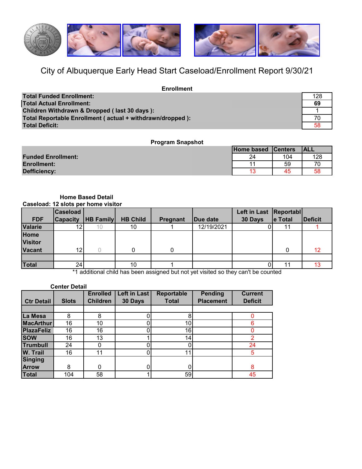

# City of Albuquerque Early Head Start Caseload/Enrollment Report 9/30/21

| <b>Enrollment</b>                                         |     |
|-----------------------------------------------------------|-----|
| <b>Total Funded Enrollment:</b>                           | 128 |
| <b>Total Actual Enrollment:</b>                           | 69  |
| Children Withdrawn & Dropped (last 30 days):              |     |
| Total Reportable Enrollment (actual + withdrawn/dropped): | 70  |
| Total Deficit:                                            | 58  |

#### **Program Snapshot**

|                           | Home based Centers |     | <b>ALL</b> |
|---------------------------|--------------------|-----|------------|
| <b>Funded Enrollment:</b> | 24                 | 104 | 128        |
| <b>Enrollment:</b>        | 44                 | 59  |            |
| Defficiency:              | 10                 | 45  | 58         |

#### **Caseload: 12 slots per home visitor Home Based Detail**

|                | <b>Caseload</b> |                  |                 |          |            | Left in Last   Reportabl |         |                |
|----------------|-----------------|------------------|-----------------|----------|------------|--------------------------|---------|----------------|
| <b>FDF</b>     | <b>Capacity</b> | <b>HB Family</b> | <b>HB Child</b> | Pregnant | Due date   | 30 Days                  | e Total | <b>Deficit</b> |
| <b>Valarie</b> | 12              |                  | 10              |          | 12/19/2021 |                          |         |                |
| Home           |                 |                  |                 |          |            |                          |         |                |
| <b>Visitor</b> |                 |                  |                 |          |            |                          |         |                |
| <b>Vacant</b>  | 12.             |                  |                 |          |            |                          |         | 12             |
|                |                 |                  |                 |          |            |                          |         |                |
| <b>Total</b>   | 24              |                  | 10              |          |            |                          | 11      |                |

\*1 additional child has been assigned but not yet visited so they can't be counted

| <b>Center Detail</b> |              |                 |              |                   |                  |                |  |  |  |  |  |
|----------------------|--------------|-----------------|--------------|-------------------|------------------|----------------|--|--|--|--|--|
|                      |              | <b>Enrolled</b> | Left in Last | <b>Reportable</b> | <b>Pending</b>   | <b>Current</b> |  |  |  |  |  |
| <b>Ctr Detail</b>    | <b>Slots</b> | <b>Children</b> | 30 Days      | <b>Total</b>      | <b>Placement</b> | <b>Deficit</b> |  |  |  |  |  |
|                      |              |                 |              |                   |                  |                |  |  |  |  |  |
| La Mesa              | 8            | 8               |              | 8                 |                  |                |  |  |  |  |  |
| <b>MacArthur</b>     | 16           | 10              |              | 10 <sub>l</sub>   |                  | 6              |  |  |  |  |  |
| <b>PlazaFeliz</b>    | 16           | 16              |              | 16                |                  |                |  |  |  |  |  |
| <b>SOW</b>           | 16           | 13              |              | 14                |                  | 2              |  |  |  |  |  |
| <b>Trumbull</b>      | 24           |                 |              |                   |                  | 24             |  |  |  |  |  |
| <b>W. Trail</b>      | 16           | 11              |              | 11                |                  | 5              |  |  |  |  |  |
| <b>Singing</b>       |              |                 |              |                   |                  |                |  |  |  |  |  |
| <b>Arrow</b>         | 8            | $\Omega$        |              |                   |                  | 8              |  |  |  |  |  |
| Total                | 104          | 58              |              | 59                |                  | 45             |  |  |  |  |  |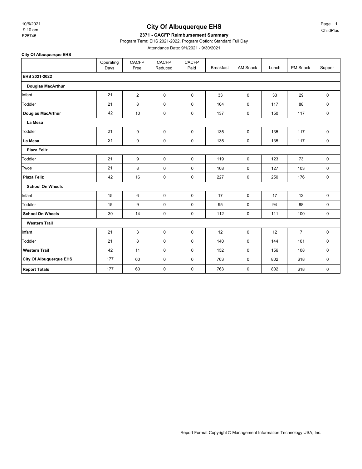9:10 am 10/6/2021

**City Of Albuquerque EHS**

#### **City Of Albuquerque EHS**

#### E25745 **2371 - CACFP Reimbursement Summary**

Program Term: EHS 2021-2022, Program Option: Standard Full Day

Attendance Date: 9/1/2021 - 9/30/2021

Operating .<br>Days CACFP Free CACFP Reduced CACFP<br>Paid Breakfast | AM Snack | Lunch | PM Snack | Supper **EHS 2021-2022 Douglas MacArthur** Infant 21 2 0 0 33 0 33 29 0 Toddler 21 8 0 0 104 0 117 88 0 **Douglas MacArthur** 42 10 0 0 137 0 150 117 0 **La Mesa** Toddler 21 9 0 0 135 0 135 117 0 **La Mesa** 21 9 0 0 135 0 135 117 0 **Plaza Feliz** Toddler 21 9 0 0 119 0 123 73 0 Twos | 21 | 8 | 0 | 0 | 108 | 0 | 127 | 103 | 0 **Plaza Feliz** 42 16 0 0 227 0 250 176 0 **School On Wheels** Infant 15 6 0 0 17 0 17 12 0 Toddler 15 9 0 0 95 0 94 88 0 **School On Wheels** 30 14 0 0 112 0 111 100 0 **Western Trail** Infant | 21 | 3 | 0 | 0 | 12 | 0 | 12 | 7 | 0 Toddler 21 8 0 0 140 0 144 101 0 **Western Trail | 42 | 11 | 0 | 0 | 152 | 0 | 156 | 108 | 0 City Of Albuquerque EHS** 177 60 0 0 763 0 802 618 0 **Report Totals | 177 | 60 | 0 | 0 | 763 | 0 | 802 | 618 | 0**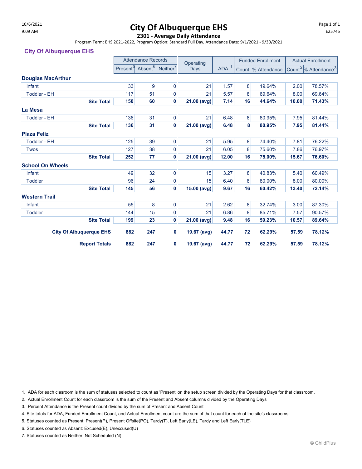# $10/6/2021$  Page 1 of 1 and  $10/6/2021$  Page 1 of 1

#### **2301 - Average Daily Attendance**

Program Term: EHS 2021-2022, Program Option: Standard Full Day, Attendance Date: 9/1/2021 - 9/30/2021

#### **City Of Albuquerque EHS**

|                          |                                |                      | <b>Attendance Records</b>                   |             | Operating     |                  | <b>Funded Enrollment</b> |                     | <b>Actual Enrollment</b> |                                              |
|--------------------------|--------------------------------|----------------------|---------------------------------------------|-------------|---------------|------------------|--------------------------|---------------------|--------------------------|----------------------------------------------|
|                          |                                | Present <sup>9</sup> | Absent <sup>6</sup><br>Neither <sup>'</sup> |             | Days          | ADA <sup>1</sup> |                          | Count  % Attendance |                          | Count <sup>2</sup> % Attendance <sup>3</sup> |
| <b>Douglas MacArthur</b> |                                |                      |                                             |             |               |                  |                          |                     |                          |                                              |
| Infant                   |                                | 33                   | 9                                           | $\mathbf 0$ | 21            | 1.57             | 8                        | 19.64%              | 2.00                     | 78.57%                                       |
| <b>Toddler - EH</b>      |                                | 117                  | 51                                          | 0           | 21            | 5.57             | 8                        | 69.64%              | 8.00                     | 69.64%                                       |
|                          | <b>Site Total</b>              | 150                  | 60                                          | 0           | 21.00 (avg)   | 7.14             | 16                       | 44.64%              | 10.00                    | 71.43%                                       |
| La Mesa                  |                                |                      |                                             |             |               |                  |                          |                     |                          |                                              |
| <b>Toddler - EH</b>      |                                | 136                  | 31                                          | 0           | 21            | 6.48             | 8                        | 80.95%              | 7.95                     | 81.44%                                       |
|                          | <b>Site Total</b>              | 136                  | 31                                          | 0           | 21.00 (avg)   | 6.48             | 8                        | 80.95%              | 7.95                     | 81.44%                                       |
| <b>Plaza Feliz</b>       |                                |                      |                                             |             |               |                  |                          |                     |                          |                                              |
| <b>Toddler - EH</b>      |                                | 125                  | 39                                          | $\mathbf 0$ | 21            | 5.95             | 8                        | 74.40%              | 7.81                     | 76.22%                                       |
| <b>Twos</b>              |                                | 127                  | 38                                          | $\mathbf 0$ | 21            | 6.05             | 8                        | 75.60%              | 7.86                     | 76.97%                                       |
|                          | <b>Site Total</b>              | 252                  | 77                                          | 0           | $21.00$ (avg) | 12.00            | 16                       | 75.00%              | 15.67                    | 76.60%                                       |
| <b>School On Wheels</b>  |                                |                      |                                             |             |               |                  |                          |                     |                          |                                              |
| Infant                   |                                | 49                   | 32                                          | $\pmb{0}$   | 15            | 3.27             | 8                        | 40.83%              | 5.40                     | 60.49%                                       |
| <b>Toddler</b>           |                                | 96                   | 24                                          | 0           | 15            | 6.40             | 8                        | 80.00%              | 8.00                     | 80.00%                                       |
|                          | <b>Site Total</b>              | 145                  | 56                                          | $\mathbf 0$ | 15.00 (avg)   | 9.67             | 16                       | 60.42%              | 13.40                    | 72.14%                                       |
| <b>Western Trail</b>     |                                |                      |                                             |             |               |                  |                          |                     |                          |                                              |
| Infant                   |                                | 55                   | 8                                           | 0           | 21            | 2.62             | 8                        | 32.74%              | 3.00                     | 87.30%                                       |
| <b>Toddler</b>           |                                |                      | 15                                          | 0           | 21            | 6.86             | 8                        | 85.71%              | 7.57                     | 90.57%                                       |
|                          | <b>Site Total</b>              | 199                  | 23                                          | $\mathbf 0$ | 21.00 (avg)   | 9.48             | 16                       | 59.23%              | 10.57                    | 89.64%                                       |
|                          | <b>City Of Albuquerque EHS</b> | 882                  | 247                                         | 0           | 19.67 (avg)   | 44.77            | 72                       | 62.29%              | 57.59                    | 78.12%                                       |
|                          | <b>Report Totals</b>           | 882                  | 247                                         | 0           | 19.67 (avg)   | 44.77            | 72                       | 62.29%              | 57.59                    | 78.12%                                       |

1. ADA for each clasroom is the sum of statuses selected to count as 'Present' on the setup screen divided by the Operating Days for that classroom.

2. Actual Enrollment Count for each classroom is the sum of the Present and Absent columns divided by the Operating Days

3. Percent Attendance is the Present count divided by the sum of Present and Absent Count

4. Site totals for ADA, Funded Enrollment Count, and Actual Enrollment count are the sum of that count for each of the site's classrooms.

5. Statuses counted as Present: Present(P), Present Offsite(PO), Tardy(T), Left Early(LE), Tardy and Left Early(TLE)

6. Statuses counted as Absent: Excused(E), Unexcused(U)

7. Statuses counted as Neither: Not Scheduled (N)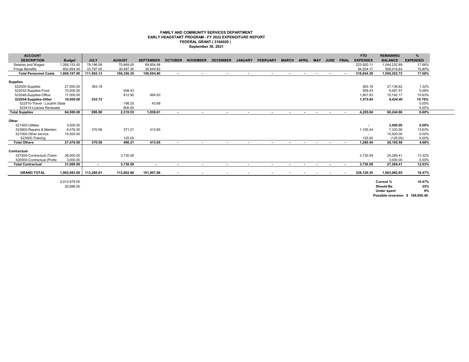#### **FAMILY AND COMMUNITY SERVICES DEPARTMENT EARLY HEADSTART PROGRAM - FY 2022 EXPENDITURE REPORT FEDERAL GRANT ( 3164020 ) September 30, 2021**

| <b>ACCOUNT</b>                 |               |             |               |                  |                          |                          |                          |                          |                          |                          |                          |                          |                          |            | <b>YTD</b>               | <b>REMAINING</b>                 | %               |
|--------------------------------|---------------|-------------|---------------|------------------|--------------------------|--------------------------|--------------------------|--------------------------|--------------------------|--------------------------|--------------------------|--------------------------|--------------------------|------------|--------------------------|----------------------------------|-----------------|
| <b>DESCRIPTION</b>             | <b>Budget</b> | <b>JULY</b> | <b>AUGUST</b> | <b>SEPTEMBER</b> | <b>OCTOBER</b>           | <b>NOVEMBER</b>          | <b>DECEMBER</b>          | <b>JANUARY</b>           | <b>FEBRUARY</b>          | <b>MARCH</b>             | <b>APRIL</b>             | <b>MAY</b>               |                          | JUNE FINAL | <b>EXPENSES</b>          | <b>BALANCE</b>                   | <b>EXPENDED</b> |
| Salaries and Wages             | 1,268,153.00  | 78,196.08   | 75,869.05     | 69,854.98        |                          |                          |                          |                          |                          |                          |                          |                          |                          |            | 223,920.11               | 1,044,232.89                     | 17.66%          |
| <b>Fringe Benefits</b>         | 600,954.00    | 33,797.05   | 30.487.30     | 30.649.82        |                          |                          |                          |                          |                          |                          |                          |                          |                          |            | 94,934.17                | 506,019.83                       | 15.80%          |
| <b>Total Personnel Costs</b>   | 1.869.107.00  | 111.993.13  | 106.356.35    | 100,504.80       | $\sim$                   | $\sim$                   | $\sim$                   | $\overline{\phantom{a}}$ | $\sim$                   | $\sim$                   | $\overline{\phantom{a}}$ | $\overline{\phantom{a}}$ | $\sim$                   | $\sim$     | 318,854.28               | 1,550,252.72                     | 17.06%          |
|                                |               |             |               |                  |                          |                          |                          |                          |                          |                          |                          |                          |                          |            |                          |                                  |                 |
| <b>Supplies</b>                |               |             |               |                  |                          |                          |                          |                          |                          |                          |                          |                          |                          |            |                          |                                  |                 |
| 522000-Supplies                | 27,500.00     | 363.18      |               |                  |                          |                          |                          |                          |                          |                          |                          |                          |                          |            | 363.18                   | 27,136.82                        | 1.32%           |
| 522032-Supplies-Food           | 10,000.00     |             | 508.43        |                  |                          |                          |                          |                          |                          |                          |                          |                          |                          |            | 508.43                   | 9,491.57                         | 5.08%           |
| 522048-Supplies-Office         | 17,000.00     |             | 812.90        | 994.93           |                          |                          |                          |                          |                          |                          |                          |                          |                          |            | 1,807.83                 | 15,192.17                        | 10.63%          |
| 522054-Supplies-Other          | 10.000.00     | 533.72      |               |                  |                          |                          |                          |                          |                          |                          |                          |                          |                          |            | 1,575.60                 | 8,424.40                         | 15.76%          |
| 522510-Travel - Local/In State |               |             | 198.20        | 43.68            |                          |                          |                          |                          |                          |                          |                          |                          |                          |            |                          |                                  | 0.00%           |
| 523410-License Renewals        |               |             | 800.00        |                  |                          |                          |                          |                          |                          |                          |                          |                          |                          |            |                          |                                  | 0.00%           |
| <b>Total Supplies</b>          | 64,500.00     | 896.90      | 2,319.53      | 1,038.61         | $\sim$                   | $\sim$                   | $\sim$                   | $\blacksquare$           | $\overline{\phantom{0}}$ | $\sim$                   | $\overline{\phantom{a}}$ | $\blacksquare$           | $\sim$                   | $\sim$     | 4,255.04                 | 60,244.96                        | 6.60%           |
|                                |               |             |               |                  |                          |                          |                          |                          |                          |                          |                          |                          |                          |            |                          |                                  |                 |
| Other                          |               |             |               |                  |                          |                          |                          |                          |                          |                          |                          |                          |                          |            |                          |                                  |                 |
| 521500-Utilities               | 3,500.00      |             |               |                  |                          |                          |                          |                          |                          |                          |                          |                          |                          |            | $\sim$                   | 3,500.00                         | $0.00\%$        |
| 523800-Repairs & Mainten       | 8,476.00      | 370.58      | 371.21        | 413.65           |                          |                          |                          |                          |                          |                          |                          |                          |                          |            | 1,155.44                 | 7,320.56                         | 13.63%          |
| 521000-Other service           | 15,500.00     |             |               |                  |                          |                          |                          |                          |                          |                          |                          |                          |                          |            | $\overline{\phantom{a}}$ | 15,500.00                        | 0.00%           |
| 523000-Training                |               |             | 125.00        |                  |                          |                          |                          |                          |                          |                          |                          |                          |                          |            | 125.00                   | (125.00)                         | 0.00%           |
| <b>Total Others</b>            | 27,476.00     | 370.58      | 496.21        | 413.65           | $\sim$                   | $\overline{\phantom{a}}$ | $\overline{\phantom{a}}$ | $\sim$                   |                          | $\mathbf{r}$             |                          |                          | $\overline{\phantom{a}}$ | $\sim$     | 1,280.44                 | 26,195.56                        | 4.66%           |
|                                |               |             |               |                  |                          |                          |                          |                          |                          |                          |                          |                          |                          |            |                          |                                  |                 |
| Contractual                    |               |             |               |                  |                          |                          |                          |                          |                          |                          |                          |                          |                          |            |                          |                                  |                 |
| 527500-Contractual (Traini     | 28,000.00     |             | 3,730.59      |                  |                          |                          |                          |                          |                          |                          |                          |                          |                          |            | 3,730.59                 | 24,269.41                        | 13.32%          |
| 520500-Contractual (Profes     | 3.000.00      |             |               |                  |                          |                          |                          |                          |                          |                          |                          |                          |                          |            | $\sim$                   | 3.000.00                         | 0.00%           |
| <b>Total Contractual</b>       | 31.000.00     | $\sim$      | 3,730.59      | $\sim$           | $\sim$                   | $\sim$                   | $\sim$                   | $\sim$                   | $\sim$                   | $\sim$                   | $\sim$                   | $\sim$                   | $\sim$                   | $\sim$     | 3,730.59                 | 27,269.41                        | 12.03%          |
|                                |               |             |               |                  |                          |                          |                          |                          |                          |                          |                          |                          |                          |            |                          |                                  |                 |
| <b>GRAND TOTAL</b>             | 1,992,083.00  | 113,260.61  | 112,902.68    | 101,957.06       | $\overline{\phantom{a}}$ | $\overline{\phantom{a}}$ | $\overline{\phantom{a}}$ |                          | $\overline{\phantom{a}}$ | $\overline{\phantom{a}}$ | $\overline{\phantom{a}}$ | $\sim$                   | $\sim$                   |            | 328,120.35               | 1,663,962.65                     | 16.47%          |
|                                |               |             |               |                  |                          |                          |                          |                          |                          |                          |                          |                          |                          |            |                          |                                  |                 |
|                                | 2,012,979.00  |             |               |                  |                          |                          |                          |                          |                          |                          |                          |                          |                          |            |                          | Current%                         | 16.47%          |
|                                | 20,896.00     |             |               |                  |                          |                          |                          |                          |                          |                          |                          |                          |                          |            |                          | Should Be                        | 25%             |
|                                |               |             |               |                  |                          |                          |                          |                          |                          |                          |                          |                          |                          |            |                          | <b>Under spent</b>               | 9%              |
|                                |               |             |               |                  |                          |                          |                          |                          |                          |                          |                          |                          |                          |            |                          |                                  |                 |
|                                |               |             |               |                  |                          |                          |                          |                          |                          |                          |                          |                          |                          |            |                          | Possible reversion \$ 169.900.40 |                 |